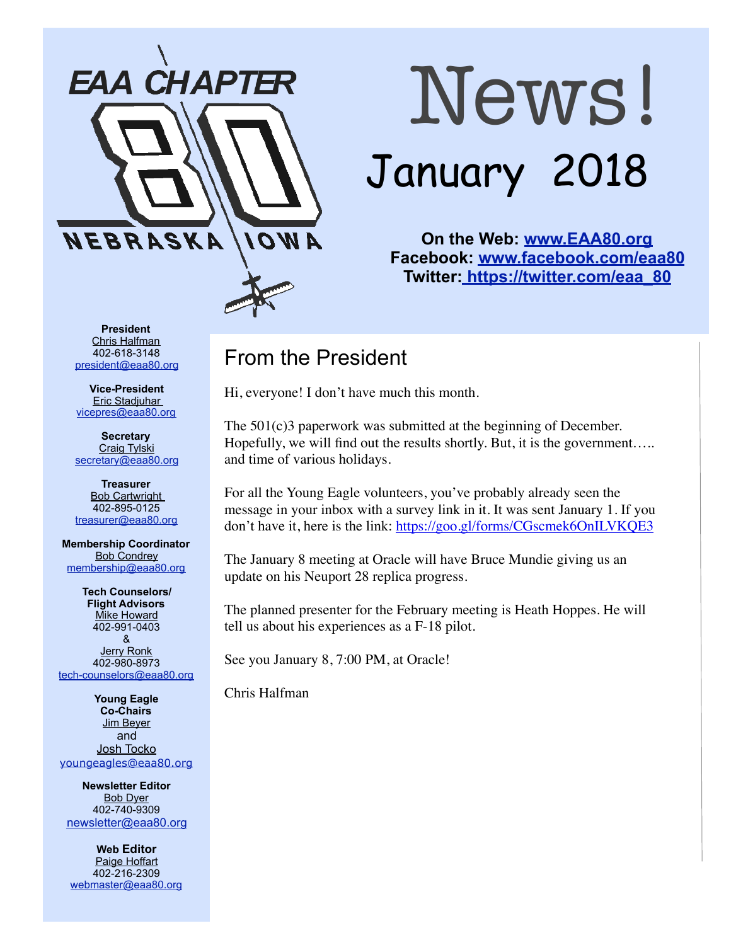

# News! January 2018

**On the Web: [www.EAA80.org](http://www.EAA80.org) Facebook: [www.facebook.com/eaa80](http://www.facebook.com/eaa80) Twitter[: https://twitter.com/eaa\\_80](https://twitter.com/eaa_80)**

**President**  Chris Halfman 402-618-3148 [president@eaa80.org](mailto:president@eaa80.org)

**Vice-President**  Eric Stadjuhar [vicepres@eaa80.org](mailto:vicepres@eaa80.org) 

**Secretary**  Craig Tylski [secretary@eaa80.org](mailto:secretary@eaa80.org)

**Treasurer**  Bob Cartwright 402-895-0125 [treasurer@eaa80.org](mailto:treasurer@eaa80.org)

**Membership Coordinator**  Bob Condrey [membership@eaa80.org](mailto:membership@eaa80.org) 

**Tech Counselors/ Flight Advisors Mike Howard** 402-991-0403 & Jerry Ronk 402-980-8973 [tech-counselors@eaa80.org](mailto:tech-counselors@eaa80.org) 

**Young Eagle Co-Chairs**  Jim Beyer and Josh Tocko [youngeagles@eaa80.org](mailto:youngeagles@eaa80.org)

**Newsletter Editor**  Bob Dyer 402-740-9309 [newsletter@eaa80.org](mailto:newsletter@eaa80.org)

**Web Editor**  Paige Hoffart 402-216-2309 [webmaster@eaa80.org](mailto:webmaster@eaa80.org)

#### From the President

Hi, everyone! I don't have much this month.

The 501(c)3 paperwork was submitted at the beginning of December. Hopefully, we will find out the results shortly. But, it is the government..... and time of various holidays.

For all the Young Eagle volunteers, you've probably already seen the message in your inbox with a survey link in it. It was sent January 1. If you don't have it, here is the link: <https://goo.gl/forms/CGscmek6OnILVKQE3>

The January 8 meeting at Oracle will have Bruce Mundie giving us an update on his Neuport 28 replica progress.

The planned presenter for the February meeting is Heath Hoppes. He will tell us about his experiences as a F-18 pilot.

See you January 8, 7:00 PM, at Oracle!

Chris Halfman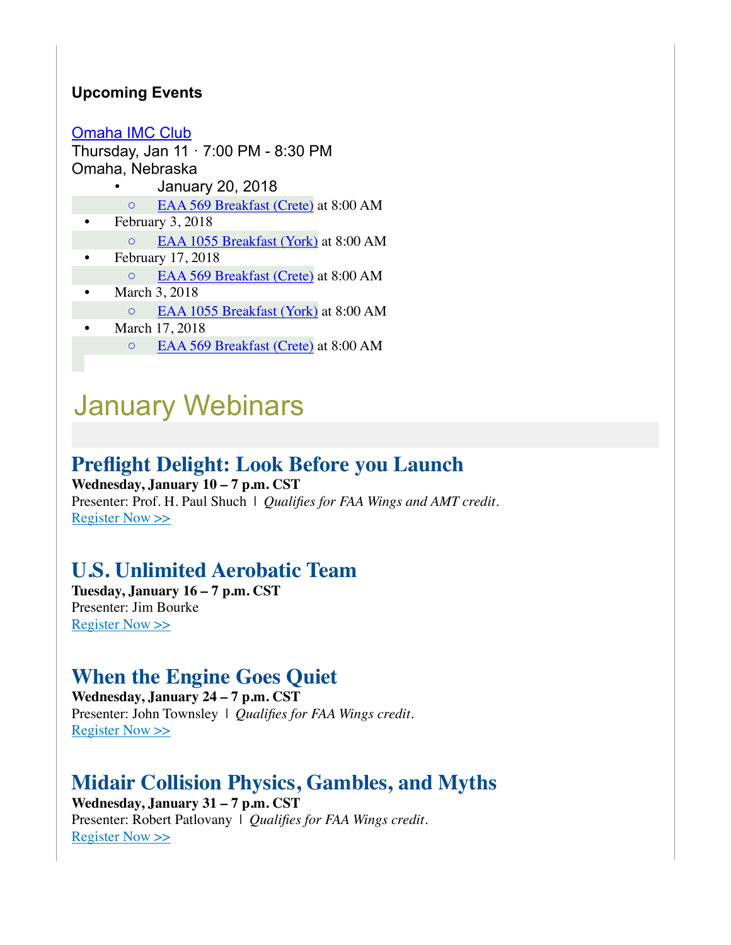#### **Upcoming Events**

[Omaha IMC Club](https://www.eaa.org/eaa/event/2017-12-14-Omaha_IMC_Club?id=9BAB18C3F52D4E63A6CF3EA01D43B9D4)

Thursday, Jan  $11 \cdot 7:00$  PM - 8:30 PM Omaha, Nebraska

- January 20, 2018
- [EAA 569 Breakfast \(Crete\)](http://eaa569.org/blog/) at 8:00 AM
- February 3, 2018
	- [EAA 1055 Breakfast \(York\)](http://1055.eaachapter.org/) at 8:00 AM
- February 17, 2018
- [EAA 569 Breakfast \(Crete\)](http://eaa569.org/blog/) at 8:00 AM
- March 3, 2018
	- [EAA 1055 Breakfast \(York\)](http://1055.eaachapter.org/) at 8:00 AM
- March 17, 2018 ◦ [EAA 569 Breakfast \(Crete\)](http://eaa569.org/blog/) at 8:00 AM

## January Webinars

#### **Preflight Delight: Look Before you Launch**

**Wednesday, January 10 – 7 p.m. CST** Presenter: Prof. H. Paul Shuch | *Qualifies for FAA Wings and AMT credit.* [Register Now >>](http://go.eaa.org/GNE0U830m71BS0OB0000HKV)

#### **U.S. Unlimited Aerobatic Team**

**Tuesday, January 16 – 7 p.m. CST** Presenter: Jim Bourke [Register Now >>](http://go.eaa.org/DSC10080UEm0080NBK3H0OV)

#### **When the Engine Goes Quiet**

**Wednesday, January 24 – 7 p.m. CST** Presenter: John Townsley | *Qualifies for FAA Wings credit.* [Register Now >>](http://go.eaa.org/x0S000083DN0BKE09O1HmUV)

#### **Midair Collision Physics, Gambles, and Myths**

**Wednesday, January 31 – 7 p.m. CST** Presenter: Robert Patlovany | *Qualifies for FAA Wings credit.* [Register Now >>](http://go.eaa.org/uEK000mE1B0O0a038HVSUN0)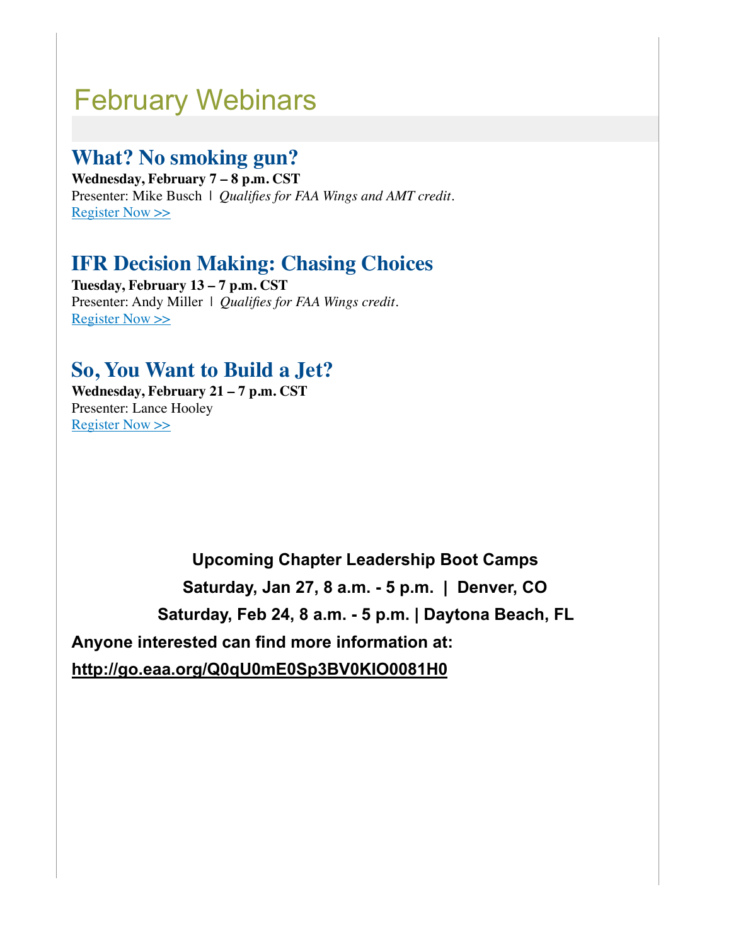## February Webinars

#### **What? No smoking gun?**

**Wednesday, February 7 – 8 p.m. CST** Presenter: Mike Busch | *Qualifies for FAA Wings and AMT credit.* [Register Now >>](http://go.eaa.org/FNmEB00Fb0S0H38V000UOK1)

#### **IFR Decision Making: Chasing Choices**

**Tuesday, February 13 – 7 p.m. CST** Presenter: Andy Miller | *Qualifies for FAA Wings credit.* [Register Now >>](http://go.eaa.org/a0300B0NVS0m00cUGEK81HO)

#### **So, You Want to Build a Jet?**

**Wednesday, February 21 – 7 p.m. CST** Presenter: Lance Hooley [Register Now >>](http://go.eaa.org/uHK000mE1B0O0d038HVSUN0)

**Upcoming Chapter Leadership Boot Camps** 

**Saturday, Jan 27, 8 a.m. - 5 p.m. | Denver, CO**

**Saturday, Feb 24, 8 a.m. - 5 p.m. | Daytona Beach, FL** 

**Anyone interested can find more information at:** 

**<http://go.eaa.org/Q0qU0mE0Sp3BV0KIO0081H0>**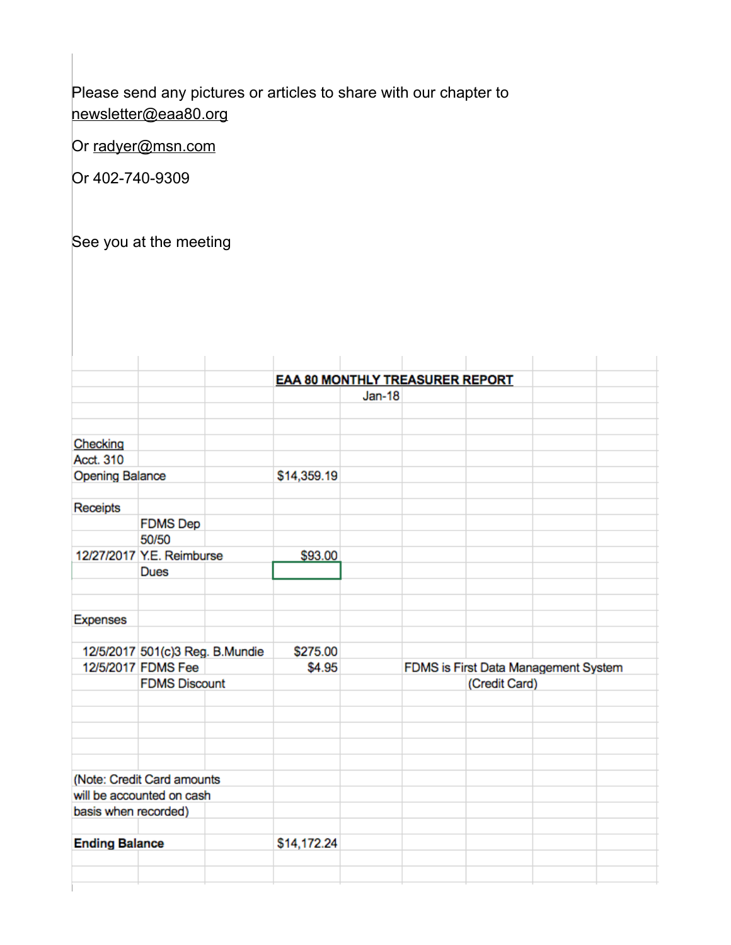Please send any pictures or articles to share with our chapter to [newsletter@eaa80.org](mailto:newsletter@eaa80.org) 

Or [radyer@msn.com](mailto:radyer@msn.com)

Or 402-740-9309

See you at the meeting

|                        |                                 |             | <b>EAA 80 MONTHLY TREASURER REPORT</b> |          |               |                                      |
|------------------------|---------------------------------|-------------|----------------------------------------|----------|---------------|--------------------------------------|
|                        |                                 |             |                                        | $Jan-18$ |               |                                      |
|                        |                                 |             |                                        |          |               |                                      |
| Checking               |                                 |             |                                        |          |               |                                      |
| Acct. 310              |                                 |             |                                        |          |               |                                      |
| <b>Opening Balance</b> |                                 | \$14,359.19 |                                        |          |               |                                      |
| Receipts               |                                 |             |                                        |          |               |                                      |
|                        | <b>FDMS Dep</b>                 |             |                                        |          |               |                                      |
|                        | 50/50                           |             |                                        |          |               |                                      |
|                        | 12/27/2017 Y.E. Reimburse       |             | \$93.00                                |          |               |                                      |
|                        | <b>Dues</b>                     |             |                                        |          |               |                                      |
| <b>Expenses</b>        |                                 |             |                                        |          |               |                                      |
|                        | 12/5/2017 501(c)3 Reg. B.Mundie |             | \$275.00                               |          |               |                                      |
|                        | 12/5/2017 FDMS Fee              |             | \$4.95                                 |          |               | FDMS is First Data Management System |
|                        | <b>FDMS Discount</b>            |             |                                        |          | (Credit Card) |                                      |
|                        |                                 |             |                                        |          |               |                                      |
|                        |                                 |             |                                        |          |               |                                      |
|                        | (Note: Credit Card amounts      |             |                                        |          |               |                                      |
|                        | will be accounted on cash       |             |                                        |          |               |                                      |
| basis when recorded)   |                                 |             |                                        |          |               |                                      |
| <b>Ending Balance</b>  |                                 |             | \$14,172.24                            |          |               |                                      |
|                        |                                 |             |                                        |          |               |                                      |